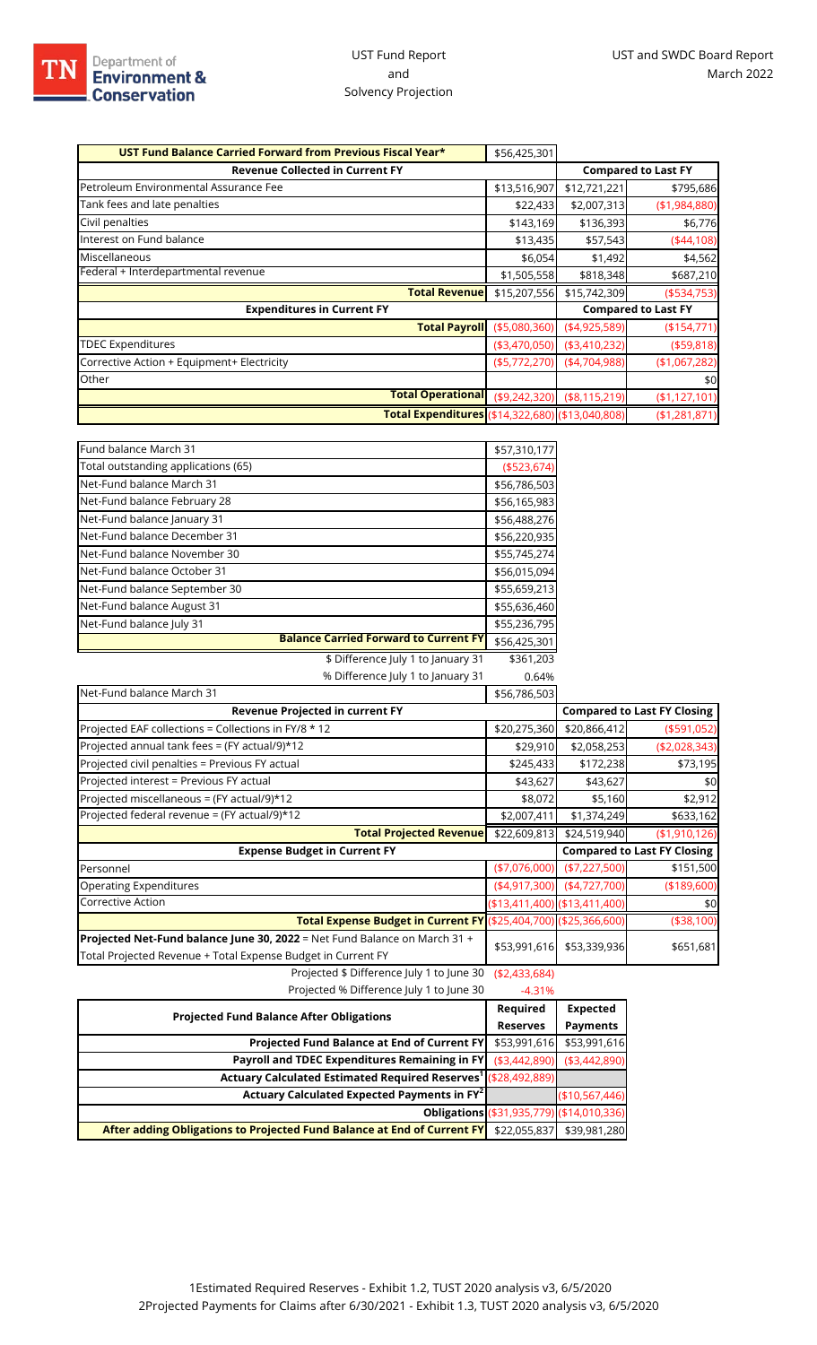| UST Fund Balance Carried Forward from Previous Fiscal Year* | \$56,425,301     |                |                            |
|-------------------------------------------------------------|------------------|----------------|----------------------------|
| <b>Revenue Collected in Current FY</b>                      |                  |                | <b>Compared to Last FY</b> |
| Petroleum Environmental Assurance Fee                       | \$13,516,907     | \$12,721,221   | \$795,686                  |
| Tank fees and late penalties                                | \$22,433         | \$2,007,313    | (\$1,984,880)              |
| Civil penalties                                             | \$143,169        | \$136,393      | \$6,776                    |
| Interest on Fund balance                                    | \$13,435         | \$57,543       | (44,108)                   |
| Miscellaneous                                               | \$6,054          | \$1,492        | \$4,562                    |
| Federal + Interdepartmental revenue                         | \$1,505,558      | \$818,348      | \$687,210                  |
| <b>Total Revenue</b>                                        | \$15,207,556     | \$15,742,309   | $($ \$534,753)             |
| <b>Expenditures in Current FY</b>                           |                  |                | <b>Compared to Last FY</b> |
| <b>Total Payroll</b>                                        | ( \$5,080,360)   | (4,925,589)    | (\$154,771)                |
| <b>TDEC Expenditures</b>                                    | ( \$3,470,050)   | ( \$3,410,232) | ( \$59, 818)               |
| Corrective Action + Equipment+ Electricity                  | ( \$5,772,270)   | (4,704,988)    | (\$1,067,282)              |
| Other                                                       |                  |                | \$0                        |
| <b>Total Operational</b>                                    | ( \$9, 242, 320) | ( \$8,115,219) | (\$1,127,101)              |
| Total Expenditures (\$14,322,680) (\$13,040,808)            |                  |                | (\$1,281,871)              |

| Fund balance March 31                        | \$57,310,177  |
|----------------------------------------------|---------------|
| Total outstanding applications (65)          | ( \$523, 674) |
| Net-Fund balance March 31                    | \$56,786,503  |
| Net-Fund balance February 28                 | \$56,165,983  |
| Net-Fund balance January 31                  | \$56,488,276  |
| Net-Fund balance December 31                 | \$56,220,935  |
| Net-Fund balance November 30                 | \$55,745,274  |
| Net-Fund balance October 31                  | \$56,015,094  |
| Net-Fund balance September 30                | \$55,659,213  |
| Net-Fund balance August 31                   | \$55,636,460  |
| Net-Fund balance July 31                     | \$55,236,795  |
| <b>Balance Carried Forward to Current FY</b> | \$56,425,301  |
| \$ Difference July 1 to January 31           | \$361,203     |
| % Difference July 1 to January 31            | 0.64%         |
| Net-Fund balance March 31                    | \$56,786,503  |

| Net-Fund balance March 31                                                                                                                 | \$56,786,503   |                               |                                    |
|-------------------------------------------------------------------------------------------------------------------------------------------|----------------|-------------------------------|------------------------------------|
| Revenue Projected in current FY                                                                                                           |                |                               | <b>Compared to Last FY Closing</b> |
| Projected EAF collections = Collections in FY/8 * 12                                                                                      | \$20,275,360   | \$20,866,412                  | ( \$591,052)                       |
| Projected annual tank fees = (FY actual/9)*12                                                                                             | \$29,910       | \$2,058,253                   | ( \$2,028,343)                     |
| Projected civil penalties = Previous FY actual                                                                                            | \$245,433      | \$172,238                     | \$73,195                           |
| Projected interest = Previous FY actual                                                                                                   | \$43,627       | \$43,627                      | \$0                                |
| Projected miscellaneous = (FY actual/9)*12                                                                                                | \$8,072        | \$5,160                       | \$2,912                            |
| Projected federal revenue = (FY actual/9)*12                                                                                              | \$2,007,411    | \$1,374,249                   | \$633,162                          |
| <b>Total Projected Revenue</b>                                                                                                            | \$22,609,813   | \$24,519,940                  | (\$1,910,126)                      |
| <b>Expense Budget in Current FY</b>                                                                                                       |                |                               | <b>Compared to Last FY Closing</b> |
| Personnel                                                                                                                                 | ( \$7,076,000) | ( \$7,227,500)                | \$151,500                          |
| Operating Expenditures                                                                                                                    | (4,917,300)    | (4,727,700)                   | (\$189,600)                        |
| Corrective Action                                                                                                                         |                | (\$13,411,400) (\$13,411,400) | \$0                                |
| Total Expense Budget in Current FY (\$25,404,700) (\$25,366,600)                                                                          |                |                               | (\$38,100)                         |
| Projected Net-Fund balance June 30, 2022 = Net Fund Balance on March 31 +<br>Total Projected Revenue + Total Expense Budget in Current FY | \$53,991,616   | \$53,339,936                  | \$651,681                          |
| Projected $\frac{1}{2}$ Difference luly 1 to lune 30 $(52.433.684)$                                                                       |                |                               |                                    |

Projected \$ Difference July 1 to June 30 (\$2,433,684)

| Projected % Difference July 1 to June 30                                   | $-4.31%$       |                                           |
|----------------------------------------------------------------------------|----------------|-------------------------------------------|
| <b>Projected Fund Balance After Obligations</b>                            |                | <b>Expected</b>                           |
|                                                                            |                | <b>Payments</b>                           |
| Projected Fund Balance at End of Current FY                                | \$53,991,616   | \$53,991,616                              |
| Payroll and TDEC Expenditures Remaining in FY                              | ( \$3,442,890) | ( \$3,442,890)                            |
| Actuary Calculated Estimated Required Reserves <sup>1</sup> (\$28,492,889) |                |                                           |
| Actuary Calculated Expected Payments in FY <sup>2</sup>                    |                | (\$10,567,446]                            |
|                                                                            |                | Obligations (\$31,935,779) (\$14,010,336) |
| After adding Obligations to Projected Fund Balance at End of Current FY    | \$22,055,837   | \$39,981,280                              |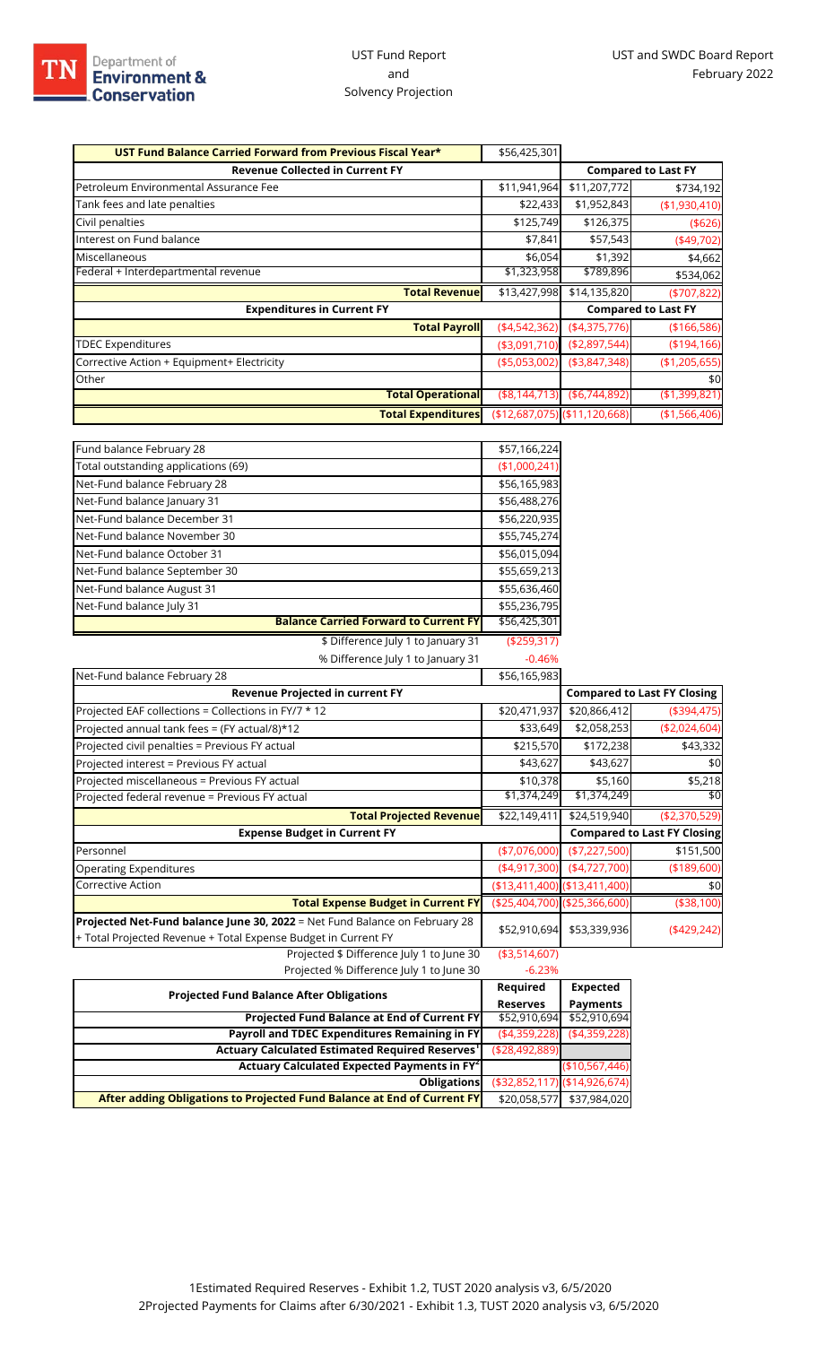| UST Fund Balance Carried Forward from Previous Fiscal Year* | \$56,425,301                    |                |                            |
|-------------------------------------------------------------|---------------------------------|----------------|----------------------------|
| <b>Revenue Collected in Current FY</b>                      |                                 |                | <b>Compared to Last FY</b> |
| Petroleum Environmental Assurance Fee                       | \$11,941,964                    | \$11,207,772   | \$734,192                  |
| Tank fees and late penalties                                | \$22,433                        | \$1,952,843    | (\$1,930,410)              |
| Civil penalties                                             | \$125,749                       | \$126,375      | ( \$626)                   |
| Interest on Fund balance                                    | \$7,841                         | \$57,543       | $(*49,702)$                |
| Miscellaneous                                               | \$6,054                         | \$1,392        | \$4,662                    |
| Federal + Interdepartmental revenue                         | \$1,323,958                     | \$789,896      | \$534,062                  |
| <b>Total Revenue</b>                                        | \$13,427,998                    | \$14,135,820   | ( \$707, 822)              |
| <b>Expenditures in Current FY</b>                           |                                 |                | <b>Compared to Last FY</b> |
| <b>Total Payroll</b>                                        | (4,542,362)                     | (4,375,776)    | (\$166,586)                |
| <b>TDEC Expenditures</b>                                    | ( \$3,091,710)                  | (\$2,897,544)  | (\$194,166)                |
| Corrective Action + Equipment+ Electricity                  | ( \$5,053,002)                  | ( \$3,847,348) | (\$1,205,655)              |
| Other                                                       |                                 |                | \$0                        |
| <b>Total Operational</b>                                    | ( \$8, 144, 713)                | ( \$6,744,892) | (\$1,399,821)              |
| <b>Total Expenditures</b>                                   | $($12,687,075)$ $($11,120,668)$ |                | (\$1,566,406)              |

| Fund balance February 28            |                                              | \$57,166,224  |
|-------------------------------------|----------------------------------------------|---------------|
| Total outstanding applications (69) |                                              | (\$1,000,241) |
| Net-Fund balance February 28        |                                              | \$56,165,983  |
| Net-Fund balance January 31         |                                              | \$56,488,276  |
| Net-Fund balance December 31        |                                              | \$56,220,935  |
| Net-Fund balance November 30        |                                              | \$55,745,274  |
| Net-Fund balance October 31         |                                              | \$56,015,094  |
| Net-Fund balance September 30       |                                              | \$55,659,213  |
| Net-Fund balance August 31          |                                              | \$55,636,460  |
| Net-Fund balance July 31            |                                              | \$55,236,795  |
|                                     | <b>Balance Carried Forward to Current FY</b> | \$56,425,301  |
|                                     | \$ Difference July 1 to January 31           | ( \$259, 317) |
|                                     | % Difference July 1 to January 31            | $-0.46%$      |

| Net-Fund balance February 28                                                                                                                 | \$56,165,983   |                                 |                                    |
|----------------------------------------------------------------------------------------------------------------------------------------------|----------------|---------------------------------|------------------------------------|
| Revenue Projected in current FY                                                                                                              |                |                                 | <b>Compared to Last FY Closing</b> |
| Projected EAF collections = Collections in FY/7 * 12                                                                                         | \$20,471,937   | \$20,866,412                    | (\$394,475)                        |
| Projected annual tank fees = (FY actual/8)*12                                                                                                | \$33,649       | \$2,058,253                     | (\$2,024,604)                      |
| Projected civil penalties = Previous FY actual                                                                                               | \$215,570      | \$172,238                       | \$43,332                           |
| Projected interest = Previous FY actual                                                                                                      | \$43,627       | \$43,627                        | \$0                                |
| Projected miscellaneous = Previous FY actual                                                                                                 | \$10,378       | \$5,160                         | \$5,218                            |
| Projected federal revenue = Previous FY actual                                                                                               | \$1,374,249    | $\overline{1,}374,249$          | \$0                                |
| <b>Total Projected Revenue</b>                                                                                                               | \$22,149,411   | \$24,519,940                    | (\$2,370,529)                      |
| <b>Expense Budget in Current FY</b>                                                                                                          |                |                                 | <b>Compared to Last FY Closing</b> |
| Personnel                                                                                                                                    | $(*7,076,000)$ | ( \$7,227,500)                  | \$151,500                          |
| <b>Operating Expenditures</b>                                                                                                                | (4,917,300)    | (4,727,700)                     | (\$189,600)                        |
| <b>Corrective Action</b>                                                                                                                     |                | $($13,411,400)$ $($13,411,400)$ | \$0                                |
| <b>Total Expense Budget in Current FY</b>                                                                                                    |                | (\$25,404,700) (\$25,366,600)   | ( \$38, 100)                       |
| Projected Net-Fund balance June 30, 2022 = Net Fund Balance on February 28<br>+ Total Projected Revenue + Total Expense Budget in Current FY | \$52,910,694   | \$53,339,936                    | $(*429,242)$                       |
| Projected \$ Difference July 1 to June 30                                                                                                    | ( \$3,514,607) |                                 |                                    |

| Projected % Difference July 1 to June 30                                | $-6.23%$                          |                 |
|-------------------------------------------------------------------------|-----------------------------------|-----------------|
| <b>Projected Fund Balance After Obligations</b>                         | Required                          | <b>Expected</b> |
|                                                                         | <b>Reserves</b>                   | <b>Payments</b> |
| Projected Fund Balance at End of Current FY                             | \$52,910,694                      | \$52,910,694    |
| Payroll and TDEC Expenditures Remaining in FY                           | (4,359,228)                       | (4,359,228)     |
| Actuary Calculated Estimated Required Reserves <sup>1</sup>             | ( \$28,492,889]                   |                 |
| Actuary Calculated Expected Payments in FY <sup>2</sup>                 |                                   | (\$10,567,446)  |
| <b>Obligations</b>                                                      | $( $32,852,117)$ $( $14,926,674)$ |                 |
| After adding Obligations to Projected Fund Balance at End of Current FY | \$20,058,577                      | \$37,984,020    |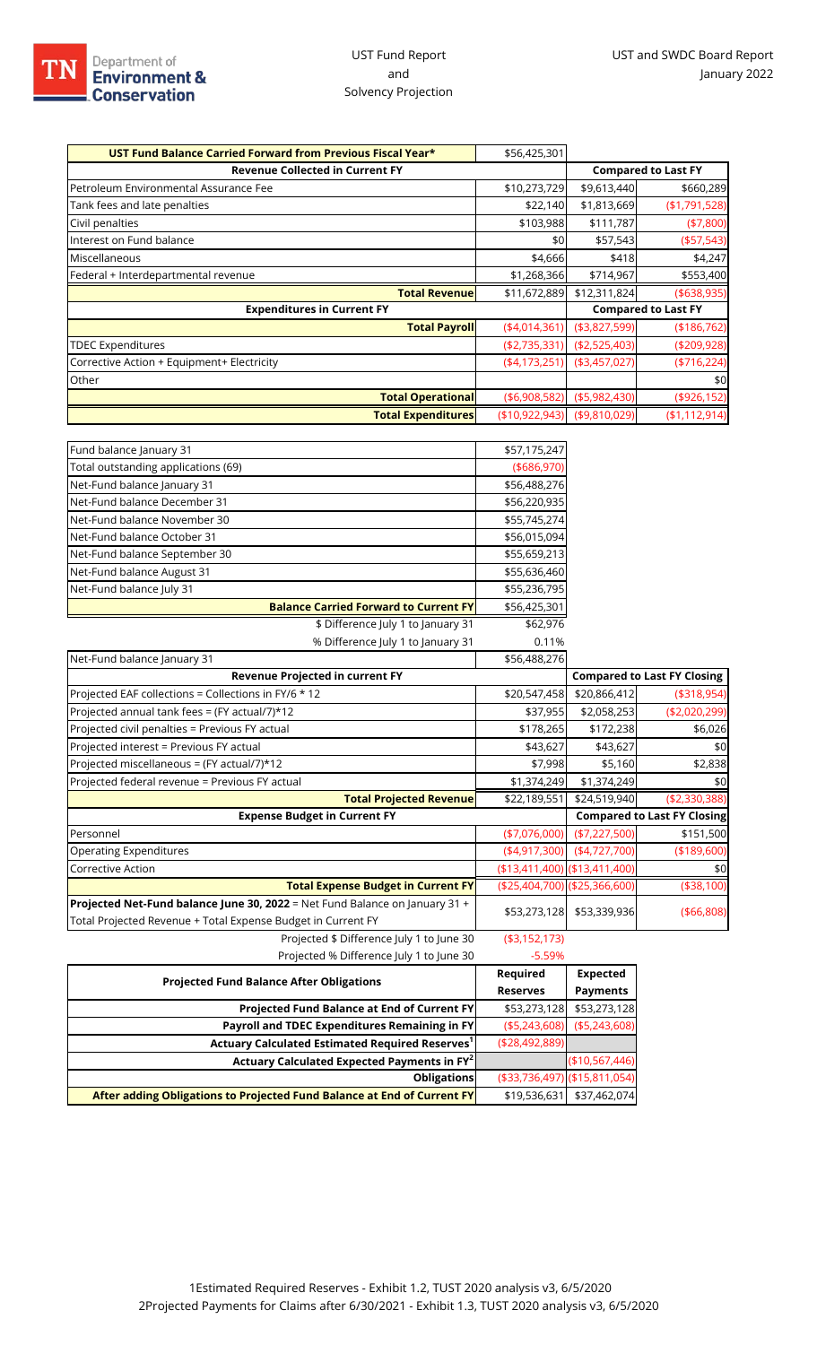| UST Fund Balance Carried Forward from Previous Fiscal Year* | \$56,425,301      |                |                            |
|-------------------------------------------------------------|-------------------|----------------|----------------------------|
| <b>Revenue Collected in Current FY</b>                      |                   |                | <b>Compared to Last FY</b> |
| Petroleum Environmental Assurance Fee                       | \$10,273,729      | \$9,613,440    | \$660,289                  |
| Tank fees and late penalties                                | \$22,140          | \$1,813,669    | (\$1,791,528)              |
| Civil penalties                                             | \$103,988         | \$111,787      | (47,800)                   |
| Interest on Fund balance                                    | \$0               | \$57,543       | ( \$57,543)                |
| Miscellaneous                                               | \$4,666           | \$418          | \$4,247                    |
| Federal + Interdepartmental revenue                         | \$1,268,366       | \$714,967      | \$553,400                  |
| <b>Total Revenue</b>                                        | \$11,672,889      | \$12,311,824   | ( \$638, 935)              |
| <b>Expenditures in Current FY</b>                           |                   |                | <b>Compared to Last FY</b> |
| <b>Total Payroll</b>                                        | (4,014,361)       | ( \$3,827,599) | (\$186,762)                |
| <b>TDEC Expenditures</b>                                    | (\$2,735,331)     | ( \$2,525,403) | ( \$209, 928)              |
| Corrective Action + Equipment+ Electricity                  | (4,173,251)       | ( \$3,457,027) | $(*716,224)$               |
| Other                                                       |                   |                | \$0                        |
| <b>Total Operational</b>                                    | ( \$6,908,582)    | ( \$5,982,430) | ( \$926, 152)              |
| <b>Total Expenditures</b>                                   | ( \$10, 922, 943) | ( \$9,810,029) | (\$1,112,914)              |

| Fund balance January 31                      | \$57,175,247  |
|----------------------------------------------|---------------|
| Total outstanding applications (69)          | ( \$686, 970) |
| Net-Fund balance January 31                  | \$56,488,276  |
| Net-Fund balance December 31                 | \$56,220,935  |
| Net-Fund balance November 30                 | \$55,745,274  |
| Net-Fund balance October 31                  | \$56,015,094  |
| Net-Fund balance September 30                | \$55,659,213  |
| Net-Fund balance August 31                   | \$55,636,460  |
| Net-Fund balance July 31                     | \$55,236,795  |
| <b>Balance Carried Forward to Current FY</b> | \$56,425,301  |
| \$ Difference July 1 to January 31           | \$62,976      |
| % Difference July 1 to January 31            | 0.11%         |

| Net-Fund balance January 31                                                                                                                                                                                                                                            | \$56,488,276   |                                    |                                    |
|------------------------------------------------------------------------------------------------------------------------------------------------------------------------------------------------------------------------------------------------------------------------|----------------|------------------------------------|------------------------------------|
| Revenue Projected in current FY                                                                                                                                                                                                                                        |                | <b>Compared to Last FY Closing</b> |                                    |
| Projected EAF collections = Collections in FY/6 * 12                                                                                                                                                                                                                   | \$20,547,458   | \$20,866,412                       | ( \$318, 954)                      |
| Projected annual tank fees = (FY actual/7)*12                                                                                                                                                                                                                          | \$37,955       | \$2,058,253                        | ( \$2,020,299)                     |
| Projected civil penalties = Previous FY actual                                                                                                                                                                                                                         | \$178,265      | \$172,238                          | \$6,026                            |
| Projected interest = Previous FY actual                                                                                                                                                                                                                                | \$43,627       | \$43,627                           | \$0                                |
| Projected miscellaneous = (FY actual/7)*12                                                                                                                                                                                                                             | \$7,998        | \$5,160                            | \$2,838                            |
| Projected federal revenue = Previous FY actual                                                                                                                                                                                                                         | \$1,374,249    | \$1,374,249                        | \$0                                |
| <b>Total Projected Revenue</b>                                                                                                                                                                                                                                         | \$22,189,551   | \$24,519,940                       | ( \$2,330,388)                     |
| <b>Expense Budget in Current FY</b>                                                                                                                                                                                                                                    |                |                                    | <b>Compared to Last FY Closing</b> |
| Personnel                                                                                                                                                                                                                                                              | $(*7,076,000)$ | (\$7,227,500)                      | \$151,500                          |
| <b>Operating Expenditures</b>                                                                                                                                                                                                                                          | (4,917,300)    | (4,727,700)                        | (\$189,600)                        |
| Corrective Action                                                                                                                                                                                                                                                      |                | (\$13,411,400) (\$13,411,400)      | \$0                                |
| <b>Total Expense Budget in Current FY</b>                                                                                                                                                                                                                              |                | (\$25,404,700) (\$25,366,600)      | (\$38,100)                         |
| Projected Net-Fund balance June 30, 2022 = Net Fund Balance on January 31 +<br>Total Projected Revenue + Total Expense Budget in Current FY                                                                                                                            | \$53,273,128   | \$53,339,936                       | ( \$66, 808)                       |
| $\mathbb{R}$ . It is not that it is a set of $\mathbb{R}$ . It is a set of $\mathbb{R}$ is the set of $\mathbb{R}$ is a set of $\mathbb{R}$ is a set of $\mathbb{R}$ is a set of $\mathbb{R}$ is a set of $\mathbb{R}$ is a set of $\mathbb{R}$ is a set of $\mathbb{$ | (40.452.472)   |                                    |                                    |

Projected \$ Difference July 1 to June 30 (\$3,152,173) Projected % Difference July 1 to June 30 -5.59%

| Tholected to Diricitate fail it to faile 50                             |                               |                 |
|-------------------------------------------------------------------------|-------------------------------|-----------------|
| <b>Projected Fund Balance After Obligations</b>                         | Required                      | <b>Expected</b> |
|                                                                         | <b>Reserves</b>               | <b>Payments</b> |
| <b>Projected Fund Balance at End of Current FY</b>                      | \$53,273,128                  | \$53,273,128    |
| Payroll and TDEC Expenditures Remaining in FY                           | ( \$5,243,608)                | ( \$5,243,608)  |
| Actuary Calculated Estimated Required Reserves <sup>1</sup>             | ( \$28,492,889]               |                 |
| Actuary Calculated Expected Payments in FY <sup>2</sup>                 |                               | (\$10,567,446)  |
| <b>Obligations</b>                                                      | (\$33,736,497) (\$15,811,054) |                 |
| After adding Obligations to Projected Fund Balance at End of Current FY | \$19,536,631                  | \$37,462,074    |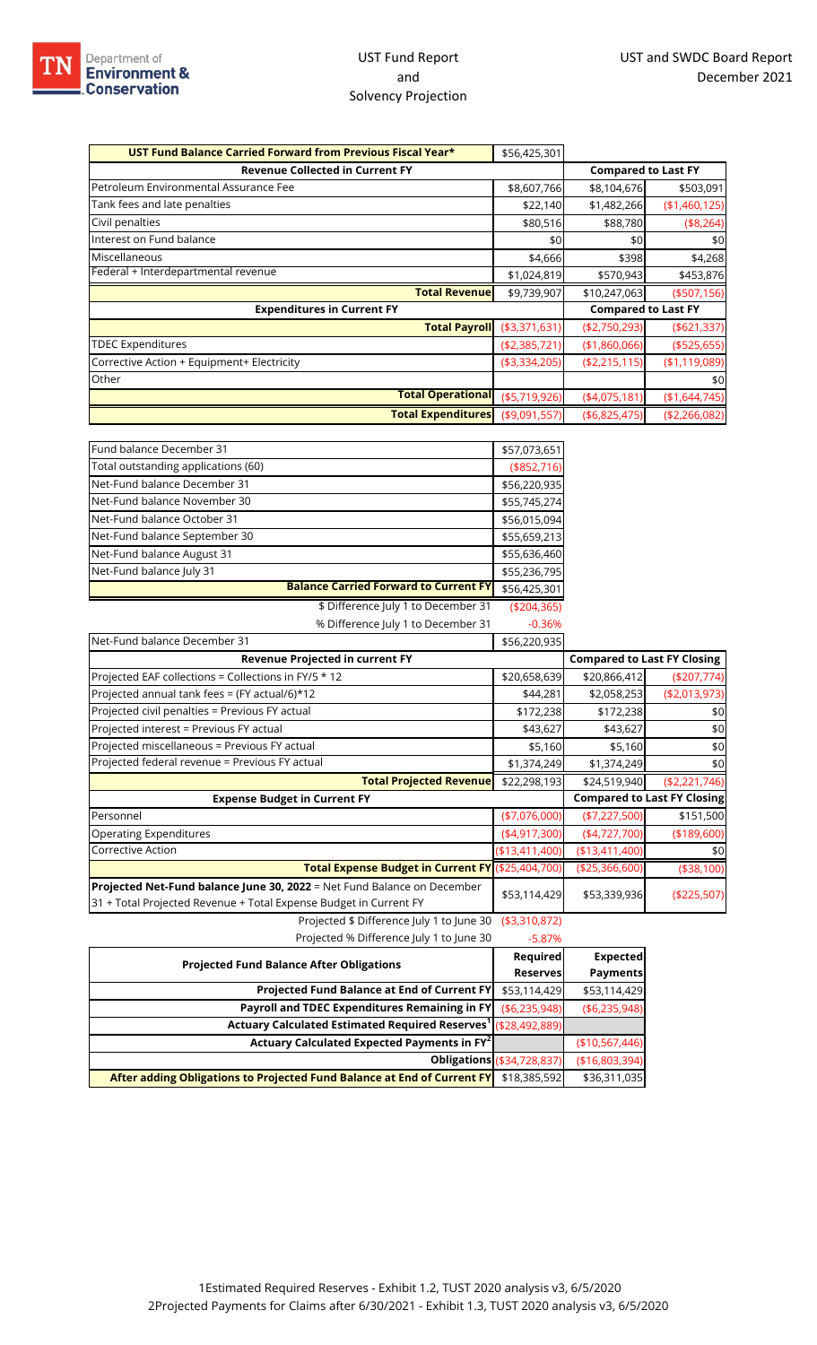| \$56,425,301                                |                  |                                                                                                                               |
|---------------------------------------------|------------------|-------------------------------------------------------------------------------------------------------------------------------|
|                                             |                  |                                                                                                                               |
|                                             | \$8,104,676      | \$503,091                                                                                                                     |
|                                             |                  | (\$1,460,125)                                                                                                                 |
|                                             | \$88,780         | (\$8,264)                                                                                                                     |
| \$0                                         | \$0              | \$0                                                                                                                           |
| \$4,666                                     | \$398            | \$4,268                                                                                                                       |
|                                             | \$570,943        | \$453,876                                                                                                                     |
| \$9,739,907                                 | \$10,247,063     | ( \$507, 156)                                                                                                                 |
|                                             |                  |                                                                                                                               |
| <b>Total Payroll</b><br>( \$3,371,631)      | ( \$2,750,293)   | ( \$621, 337)                                                                                                                 |
| ( \$2,385,721)                              | (\$1,860,066)    | ( \$525, 655)                                                                                                                 |
| ( \$3,334,205)                              | ( \$2, 215, 115) | ( \$1,119,089)                                                                                                                |
|                                             |                  | \$0                                                                                                                           |
| <b>Total Operational</b><br>( \$5,719,926)  | (4,075,181)      | (\$1,644,745)                                                                                                                 |
| <b>Total Expenditures</b><br>( \$9,091,557) | ( \$6,825,475)   | ( \$2, 266, 082)                                                                                                              |
|                                             |                  | <b>Compared to Last FY</b><br>\$8,607,766<br>\$1,482,266<br>\$22,140<br>\$80,516<br>\$1,024,819<br><b>Compared to Last FY</b> |

| Fund balance December 31                     | \$57,073,651  |
|----------------------------------------------|---------------|
| Total outstanding applications (60)          | (\$852,716)   |
| Net-Fund balance December 31                 | \$56,220,935  |
| Net-Fund balance November 30                 | \$55,745,274  |
| Net-Fund balance October 31                  | \$56,015,094  |
| Net-Fund balance September 30                | \$55,659,213  |
| Net-Fund balance August 31                   | \$55,636,460  |
| Net-Fund balance July 31                     | \$55,236,795  |
| <b>Balance Carried Forward to Current FY</b> | \$56,425,301  |
| \$ Difference July 1 to December 31          | ( \$204, 365) |

% Difference July 1 to December 31 -0.36%

| Net-Fund balance December 31                                                                                                                 | \$56,220,935    |                |                                    |
|----------------------------------------------------------------------------------------------------------------------------------------------|-----------------|----------------|------------------------------------|
| <b>Revenue Projected in current FY</b>                                                                                                       |                 |                | <b>Compared to Last FY Closing</b> |
| Projected EAF collections = Collections in FY/5 * 12                                                                                         | \$20,658,639    | \$20,866,412   | (\$207,774)                        |
| Projected annual tank fees = (FY actual/6)*12                                                                                                | \$44,281        | \$2,058,253    | ( \$2,013,973)                     |
| Projected civil penalties = Previous FY actual                                                                                               | \$172,238       | \$172,238      | \$0                                |
| Projected interest = Previous FY actual                                                                                                      | \$43,627        | \$43,627       | \$0                                |
| Projected miscellaneous = Previous FY actual                                                                                                 | \$5,160         | \$5,160        | \$0                                |
| Projected federal revenue = Previous FY actual                                                                                               | \$1,374,249     | \$1,374,249    | \$0                                |
| <b>Total Projected Revenue</b>                                                                                                               | \$22,298,193    | \$24,519,940   | ( \$2, 221, 746)                   |
| <b>Expense Budget in Current FY</b>                                                                                                          |                 |                | <b>Compared to Last FY Closing</b> |
| Personnel                                                                                                                                    | $(*7,076,000)$  | $(*7,227,500)$ | \$151,500                          |
| <b>Operating Expenditures</b>                                                                                                                | (4,917,300)     | (4,727,700)    | ( \$189, 600)                      |
| Corrective Action                                                                                                                            | ( \$13,411,400) | (\$13,411,400) | \$0                                |
| Total Expense Budget in Current FY (\$25,404,700)                                                                                            |                 | (\$25,366,600) | ( \$38, 100)                       |
| Projected Net-Fund balance June 30, 2022 = Net Fund Balance on December<br>31 + Total Projected Revenue + Total Expense Budget in Current FY | \$53,114,429    | \$53,339,936   | (\$225,507)                        |
| Projected \$ Difference July 1 to June 30                                                                                                    | ( \$3,310,872)  |                |                                    |

Projected % Difference July 1 to June 30 -5.87%

|                                                                            |                                   | Required<br><b>Expected</b> |
|----------------------------------------------------------------------------|-----------------------------------|-----------------------------|
| <b>Projected Fund Balance After Obligations</b>                            | Reserves                          | <b>Payments</b>             |
| Projected Fund Balance at End of Current FY                                | \$53,114,429                      | \$53,114,429                |
| Payroll and TDEC Expenditures Remaining in FY                              | ( \$6,235,948)                    | ( \$6,235,948)              |
| Actuary Calculated Estimated Required Reserves <sup>1</sup> (\$28,492,889) |                                   |                             |
| Actuary Calculated Expected Payments in FY <sup>2</sup>                    |                                   | (\$10,567,446)              |
|                                                                            | <b>Obligations (\$34,728,837)</b> | (\$16,803,394)              |
| After adding Obligations to Projected Fund Balance at End of Current FY    | \$18,385,592                      | \$36,311,035                |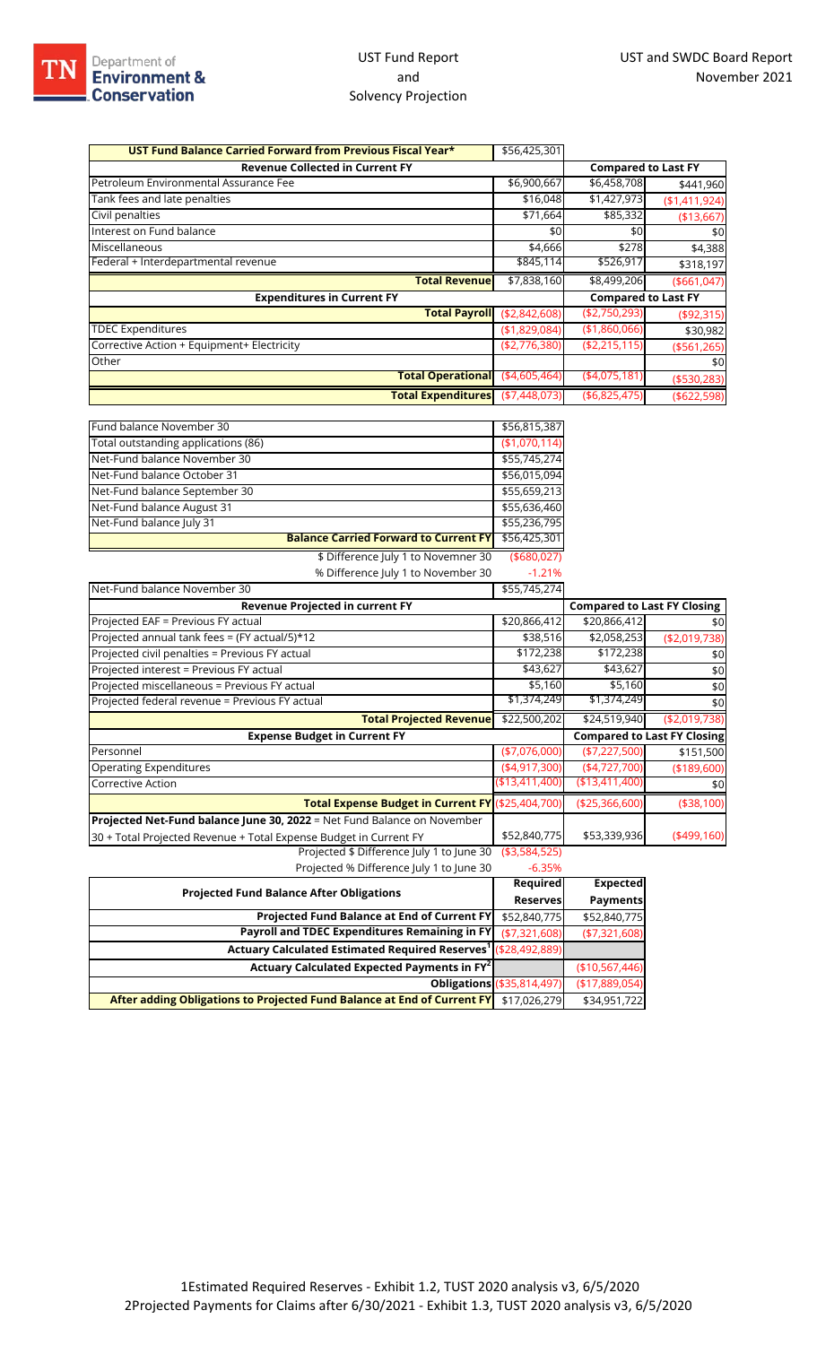| UST Fund Balance Carried Forward from Previous Fiscal Year*             | \$56,425,301    |                                    |                                    |
|-------------------------------------------------------------------------|-----------------|------------------------------------|------------------------------------|
| <b>Revenue Collected in Current FY</b>                                  |                 | <b>Compared to Last FY</b>         |                                    |
| Petroleum Environmental Assurance Fee                                   | \$6,900,667     | \$6,458,708                        | \$441,960                          |
| Tank fees and late penalties                                            | \$16,048        | \$1,427,973                        | (\$1,411,924)                      |
| Civil penalties                                                         | \$71,664        | \$85,332                           | (\$13,667)                         |
| Interest on Fund balance                                                | \$0             | \$0                                | \$0                                |
| Miscellaneous                                                           | \$4,666         | \$278                              | \$4,388                            |
| Federal + Interdepartmental revenue                                     | \$845,114       | \$526,917                          | \$318,197                          |
| <b>Total Revenue</b>                                                    | \$7,838,160     | \$8,499,206                        | ( \$661,047)                       |
| <b>Expenditures in Current FY</b>                                       |                 | <b>Compared to Last FY</b>         |                                    |
| <b>Total Payroll</b>                                                    | (\$2,842,608)   | (\$2,750,293)                      | ( \$92, 315)                       |
| <b>TDEC Expenditures</b>                                                | (\$1,829,084)   | (\$1,860,066)                      | \$30,982                           |
| Corrective Action + Equipment+ Electricity                              | (\$2,776,380)   | ( \$2, 215, 115)                   | ( \$561, 265)                      |
| Other                                                                   |                 |                                    | \$0                                |
| <b>Total Operational</b>                                                | ( \$4,605,464)  | ( \$4,075,181)                     | ( \$530, 283)                      |
| <b>Total Expenditures</b>                                               | ( \$7,448,073)  | ( \$6,825,475)                     | ( \$622, 598)                      |
|                                                                         |                 |                                    |                                    |
| Fund balance November 30                                                | \$56,815,387    |                                    |                                    |
| Total outstanding applications (86)                                     | (\$1,070,114)   |                                    |                                    |
| Net-Fund balance November 30                                            | \$55,745,274    |                                    |                                    |
| Net-Fund balance October 31                                             | \$56,015,094    |                                    |                                    |
| Net-Fund balance September 30                                           | \$55,659,213    |                                    |                                    |
| Net-Fund balance August 31                                              | \$55,636,460    |                                    |                                    |
| Net-Fund balance July 31                                                | \$55,236,795    |                                    |                                    |
| <b>Balance Carried Forward to Current FY</b>                            | \$56,425,301    |                                    |                                    |
| \$ Difference July 1 to Novemner 30                                     | ( \$680,027)    |                                    |                                    |
| % Difference July 1 to November 30                                      | $-1.21%$        |                                    |                                    |
| Net-Fund balance November 30                                            | \$55,745,274    |                                    |                                    |
| <b>Revenue Projected in current FY</b>                                  |                 | <b>Compared to Last FY Closing</b> |                                    |
| Projected EAF = Previous FY actual                                      | \$20,866,412    | \$20,866,412                       | \$0                                |
| Projected annual tank fees = (FY actual/5)*12                           | \$38,516        | \$2,058,253                        | (\$2,019,738)                      |
| Projected civil penalties = Previous FY actual                          | \$172,238       | \$172,238                          | \$0                                |
| Projected interest = Previous FY actual                                 | \$43,627        | \$43,627                           | \$0                                |
| Projected miscellaneous = Previous FY actual                            | \$5,160         | \$5,160                            | \$0                                |
| Projected federal revenue = Previous FY actual                          | \$1,374,249     | \$1,374,249                        | \$0                                |
| <b>Total Projected Revenue</b>                                          | \$22,500,202    | \$24,519,940                       | ( \$2,019,738)                     |
| <b>Expense Budget in Current FY</b>                                     |                 |                                    | <b>Compared to Last FY Closing</b> |
| Personnel                                                               | $(*7,076,000)$  | (\$7,227,500)                      | \$151,500                          |
| <b>Operating Expenditures</b>                                           | ( \$4,917,300)  | (4,727,700)                        | ( \$189, 600)                      |
| <b>Corrective Action</b>                                                | (\$13,411,400)  | (\$13,411,400)                     | \$0                                |
| Total Expense Budget in Current FY (\$25,404,700)                       |                 | (\$25,366,600)                     | (\$38,100)                         |
| Projected Net-Fund balance June 30, 2022 = Net Fund Balance on November |                 |                                    |                                    |
| 30 + Total Projected Revenue + Total Expense Budget in Current FY       | \$52,840,775    | \$53,339,936                       | $(*499,160)$                       |
| Projected \$ Difference July 1 to June 30                               | ( \$3,584,525)  |                                    |                                    |
| Projected % Difference July 1 to June 30                                | $-6.35%$        |                                    |                                    |
|                                                                         | <b>Required</b> | <b>Expected</b>                    |                                    |
| <b>Projected Fund Balance After Obligations</b>                         | <b>Reserves</b> | <b>Payments</b>                    |                                    |
| Projected Fund Balance at End of Current FY                             | \$52,840,775    | \$52,840,775                       |                                    |
| Payroll and TDEC Expenditures Remaining in FY                           | (\$7,321,608)   | (\$7,321,608)                      |                                    |
| Actuary Calculated Estimated Required Reserves <sup>1</sup>             | (\$28,492,889)  |                                    |                                    |
| Actuary Calculated Expected Payments in FY <sup>2</sup>                 |                 | (\$10,567,446)                     |                                    |

**After adding Obligations to Projected Fund Balance at End of Current FY** \$17,026,279 \$34,951

**Obligations** (\$35,814,497) (\$17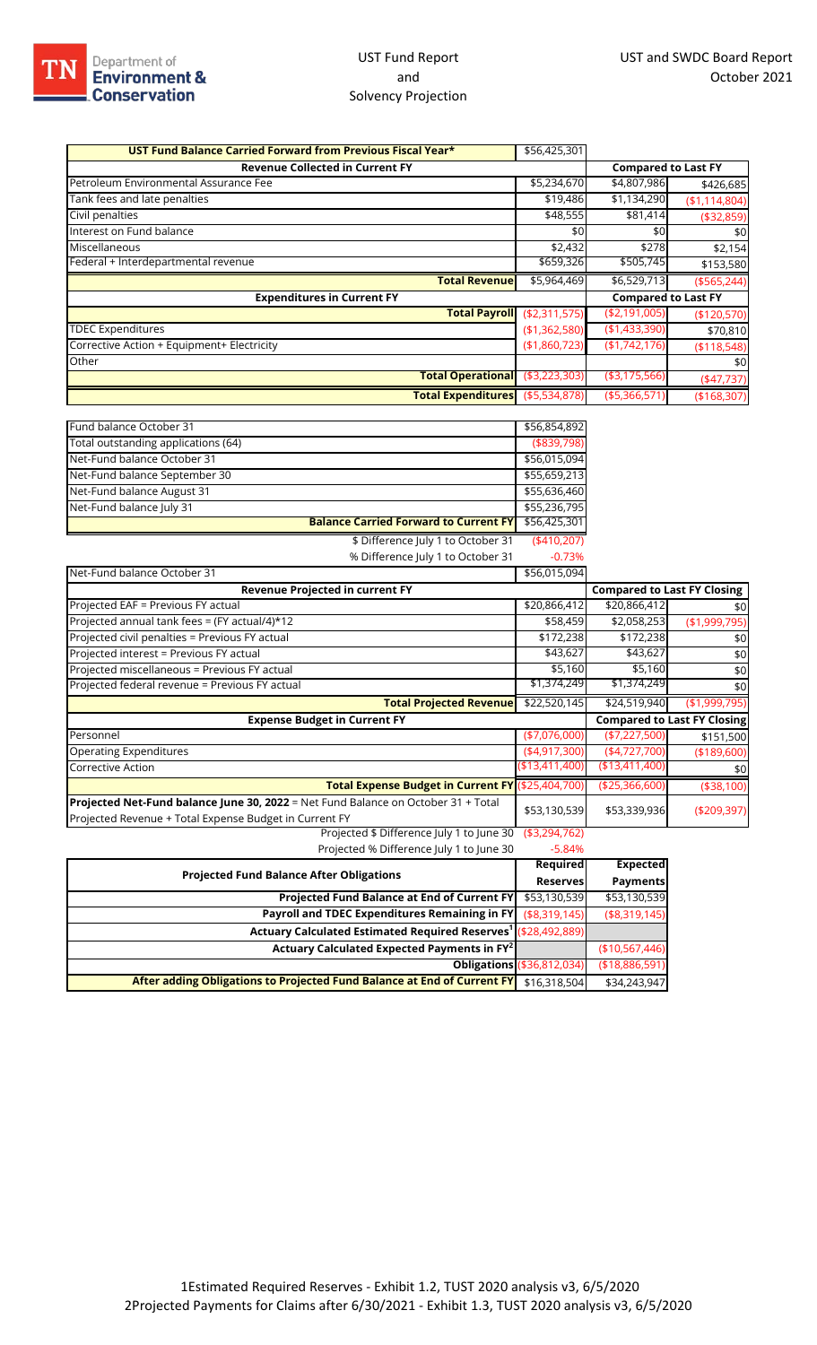## UST Fund Report and Solvency Projection

| UST Fund Balance Carried Forward from Previous Fiscal Year* | \$56,425,301   |                            |               |
|-------------------------------------------------------------|----------------|----------------------------|---------------|
| <b>Revenue Collected in Current FY</b>                      |                | <b>Compared to Last FY</b> |               |
| Petroleum Environmental Assurance Fee                       | \$5,234,670    | \$4,807,986                | \$426,685     |
| Tank fees and late penalties                                | \$19,486       | \$1,134,290                | (\$1,114,804) |
| Civil penalties                                             | \$48,555       | \$81,414                   | (\$32,859)    |
| Interest on Fund balance                                    | \$0            | \$0                        | \$0           |
| Miscellaneous                                               | \$2,432        | \$278                      | \$2,154       |
| Federal + Interdepartmental revenue                         | \$659,326      | \$505,745                  | \$153,580     |
| <b>Total Revenuel</b>                                       | \$5,964,469    | \$6,529,713                | ( \$565, 244) |
| <b>Expenditures in Current FY</b>                           |                | <b>Compared to Last FY</b> |               |
| <b>Total Payroll</b>                                        | ( \$2,311,575) | (\$2,191,005)              | (\$120,570)   |
| <b>TDEC Expenditures</b>                                    | (\$1,362,580)  | (\$1,433,390)              | \$70,810      |
| Corrective Action + Equipment+ Electricity                  | (\$1,860,723)  | (\$1,742,176)              | ( \$118,548)  |
| Other                                                       |                |                            | \$0           |
| Total Operational                                           | ( \$3,223,303) | ( \$3,175,566)             | $(*47,737)$   |
| <b>Total Expenditures</b>                                   | ( \$5,534,878) | (\$5,366,571               | (\$168,307)   |

| Fund balance October 31             |                                              | \$56,854,892  |
|-------------------------------------|----------------------------------------------|---------------|
| Total outstanding applications (64) |                                              | ( \$839, 798) |
| Net-Fund balance October 31         |                                              | \$56,015,094  |
| Net-Fund balance September 30       |                                              | \$55,659,213  |
| Net-Fund balance August 31          |                                              | \$55,636,460  |
| Net-Fund balance July 31            |                                              | \$55,236,795  |
|                                     | <b>Balance Carried Forward to Current FY</b> | \$56,425,301  |
|                                     | \$ Difference July 1 to October 31           | (410,207)     |
|                                     | % Difference July 1 to October 31            | $-0.73%$      |
| Net-Fund balance October 31         |                                              | \$56,015,094  |

| net rund buildings October 3 i                                                    | $+0.010101$    |                       |                                    |
|-----------------------------------------------------------------------------------|----------------|-----------------------|------------------------------------|
| Revenue Projected in current FY                                                   |                |                       | <b>Compared to Last FY Closing</b> |
| Projected EAF = Previous FY actual                                                | \$20,866,412   | \$20,866,412          | \$0                                |
| Projected annual tank fees = (FY actual/4)*12                                     | \$58,459       | \$2,058,253           | (\$1,999,795)                      |
| Projected civil penalties = Previous FY actual                                    | \$172,238      | $\overline{$}172,238$ | \$0                                |
| Projected interest = Previous FY actual                                           | \$43,627       | \$43,627              | \$0                                |
| Projected miscellaneous = Previous FY actual                                      | \$5,160        | \$5,160               | \$0                                |
| Projected federal revenue = Previous FY actual                                    | \$1,374,249    | \$1,374,249           | \$0                                |
| <b>Total Projected Revenue</b>                                                    | \$22,520,145   | \$24,519,940          | (\$1,999,795)                      |
| <b>Expense Budget in Current FY</b>                                               |                |                       | <b>Compared to Last FY Closing</b> |
| Personnel                                                                         | $(*7,076,000)$ | ( \$7,227,500)        | \$151,500                          |
| <b>Operating Expenditures</b>                                                     | (4,917,300)    | (4,727,700)           | ( \$189, 600)                      |
| Corrective Action                                                                 | (\$13,411,400  | (\$13,411,400)        | \$0                                |
| Total Expense Budget in Current FY (\$25,404,700)                                 |                | ( \$25,366,600)       | (\$38,100)                         |
| Projected Net-Fund balance June 30, 2022 = Net Fund Balance on October 31 + Total | \$53,130,539   | \$53,339,936          | ( \$209, 397)                      |
| Projected Revenue + Total Expense Budget in Current FY                            |                |                       |                                    |
| Projected \$ Difference July 1 to June 30                                         | ( \$3,294,762) |                       |                                    |

Projected % Difference July 1 to June 30 -5.84%

| <b>Projected Fund Balance After Obligations</b>                                      |                                   | <b>Required</b><br><b>Expected</b> |
|--------------------------------------------------------------------------------------|-----------------------------------|------------------------------------|
|                                                                                      |                                   | <b>Payments</b><br><b>Reserves</b> |
| Projected Fund Balance at End of Current FY                                          | \$53,130,539                      | \$53,130,539                       |
| Payroll and TDEC Expenditures Remaining in FY                                        | (\$8,319,145)                     | ( \$8,319,145)                     |
| Actuary Calculated Estimated Required Reserves <sup>1</sup> (\$28,492,889)           |                                   |                                    |
| Actuary Calculated Expected Payments in FY <sup>2</sup>                              |                                   | (\$10,567,446)                     |
|                                                                                      | <b>Obligations (\$36,812,034)</b> | (\$18,886,591)                     |
| After adding Obligations to Projected Fund Balance at End of Current FY \$16,318,504 |                                   | \$34,243,947                       |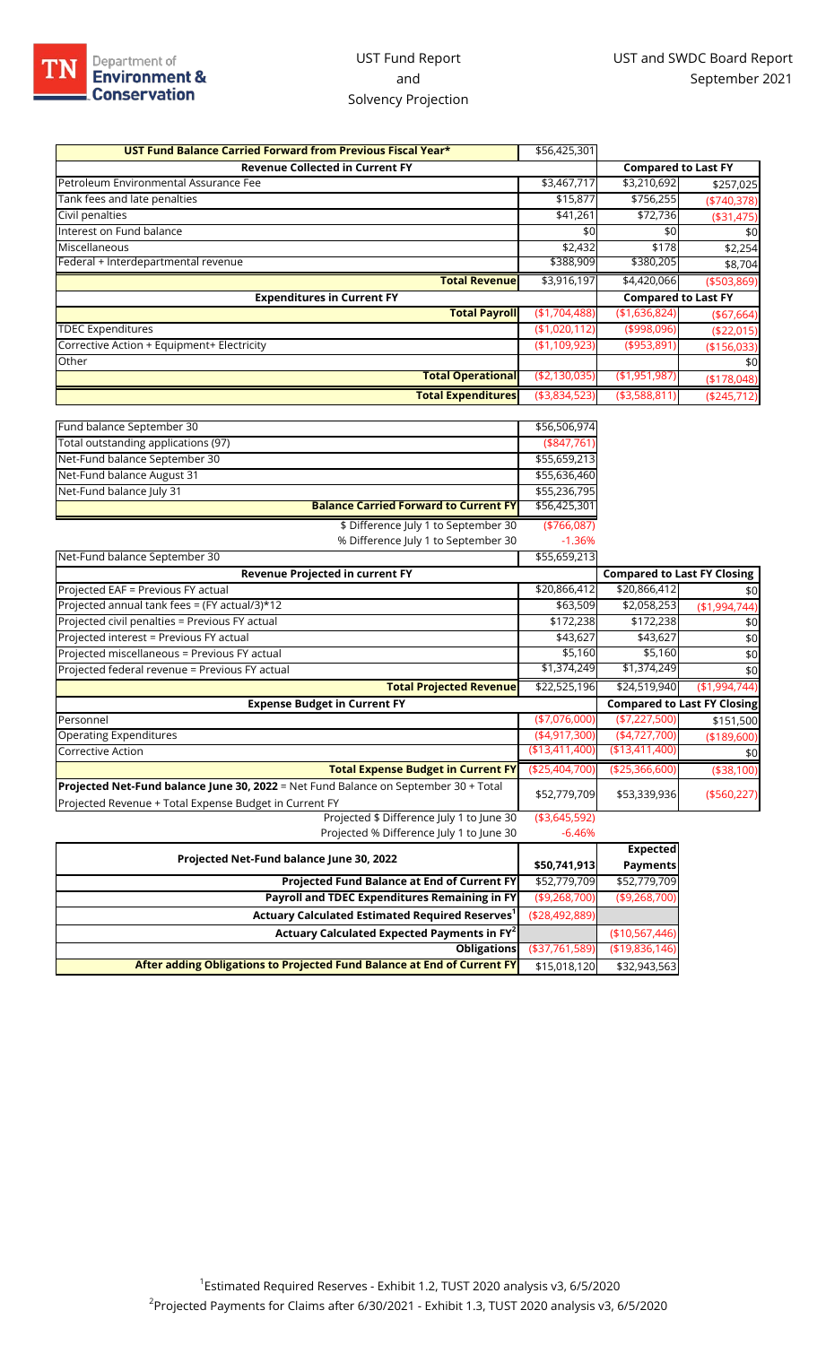## UST Fund Report and Solvency Projection

| UST Fund Balance Carried Forward from Previous Fiscal Year*                                                                                   | \$56,425,301                |                                    |                                    |
|-----------------------------------------------------------------------------------------------------------------------------------------------|-----------------------------|------------------------------------|------------------------------------|
| <b>Revenue Collected in Current FY</b>                                                                                                        |                             | <b>Compared to Last FY</b>         |                                    |
| Petroleum Environmental Assurance Fee                                                                                                         | \$3,467,717                 | \$3,210,692                        | \$257,025                          |
| Tank fees and late penalties                                                                                                                  | \$15,877                    | \$756,255                          | ( \$740, 378)                      |
| Civil penalties                                                                                                                               | \$41,261                    | \$72,736                           | ( \$31,475)                        |
| Interest on Fund balance                                                                                                                      | \$0                         | \$0                                | \$0                                |
| Miscellaneous                                                                                                                                 | \$2,432                     | \$178                              | \$2,254                            |
| Federal + Interdepartmental revenue                                                                                                           | \$388,909                   | \$380,205                          | \$8,704                            |
| <b>Total Revenue</b>                                                                                                                          | \$3,916,197                 | \$4,420,066                        | ( \$503, 869)                      |
| <b>Expenditures in Current FY</b>                                                                                                             |                             | <b>Compared to Last FY</b>         |                                    |
| <b>Total Payroll</b>                                                                                                                          | (\$1,704,488)               | (\$1,636,824)                      | ( \$67,664)                        |
| <b>TDEC Expenditures</b>                                                                                                                      | (\$1,020,112)               | (\$998,096)                        | ( \$22,015)                        |
| Corrective Action + Equipment+ Electricity                                                                                                    | (\$1,109,923)               | ( \$953, 891)                      | ( \$156,033)                       |
| Other                                                                                                                                         |                             |                                    | \$0                                |
| <b>Total Operational</b>                                                                                                                      | ( \$2,130,035)              | ( \$1,951,987)                     | (\$178,048)                        |
| <b>Total Expenditures</b>                                                                                                                     | ( \$3,834,523)              | ( \$3,588,811)                     | (\$245,712)                        |
|                                                                                                                                               |                             |                                    |                                    |
| Fund balance September 30<br>Total outstanding applications (97)                                                                              | \$56,506,974<br>(\$847,761) |                                    |                                    |
| Net-Fund balance September 30                                                                                                                 | \$55,659,213                |                                    |                                    |
| Net-Fund balance August 31                                                                                                                    | \$55,636,460                |                                    |                                    |
| Net-Fund balance July 31                                                                                                                      | \$55,236,795                |                                    |                                    |
| <b>Balance Carried Forward to Current FY</b>                                                                                                  | \$56,425,301                |                                    |                                    |
| \$ Difference July 1 to September 30                                                                                                          | ( \$766,087)                |                                    |                                    |
| % Difference July 1 to September 30                                                                                                           | $-1.36%$                    |                                    |                                    |
| Net-Fund balance September 30                                                                                                                 | \$55,659,213                |                                    |                                    |
| <b>Revenue Projected in current FY</b>                                                                                                        |                             | <b>Compared to Last FY Closing</b> |                                    |
| Projected EAF = Previous FY actual                                                                                                            | \$20,866,412                | \$20,866,412                       | \$0                                |
| Projected annual tank fees = (FY actual/3)*12                                                                                                 | \$63,509                    | \$2,058,253                        | (\$1,994,744)                      |
| Projected civil penalties = Previous FY actual                                                                                                | \$172,238                   | \$172,238                          | \$0                                |
| Projected interest = Previous FY actual                                                                                                       | \$43,627                    | \$43,627                           | \$0                                |
| Projected miscellaneous = Previous FY actual                                                                                                  | \$5,160                     | \$5,160                            | \$0                                |
| Projected federal revenue = Previous FY actual                                                                                                | \$1,374,249                 | \$1,374,249                        | \$0                                |
| <b>Total Projected Revenue</b>                                                                                                                | \$22,525,196                | \$24,519,940                       | (\$1,994,744)                      |
| <b>Expense Budget in Current FY</b>                                                                                                           |                             |                                    | <b>Compared to Last FY Closing</b> |
| Personnel                                                                                                                                     | $(*7,076,000)$              | (\$7,227,500)                      | \$151,500                          |
| <b>Operating Expenditures</b>                                                                                                                 | (4,917,300)                 | (4,727,700)                        | (\$189,600)                        |
| <b>Corrective Action</b>                                                                                                                      | ( \$13,411,400)             | ( \$13,411,400)                    | \$0                                |
| <b>Total Expense Budget in Current FY</b>                                                                                                     | (\$25,404,700)              | ( \$25,366,600)                    | (\$38,100)                         |
| Projected Net-Fund balance June 30, 2022 = Net Fund Balance on September 30 + Total<br>Projected Revenue + Total Expense Budget in Current FY | \$52,779,709                | \$53,339,936                       | (\$560, 227)                       |
| Projected \$ Difference July 1 to June 30                                                                                                     | ( \$3,645,592)              |                                    |                                    |

Projected % Difference July 1 to June 30 -6.46%

**Projected Fund Balance at End of Current FY** \$52,779,709 \$52,779,709 **Payroll and TDEC Expenditures Remaining in FY** (\$9,268,700) (\$9,268,700)

**Actuary Calculated Expected Payments in FY<sup>2</sup>** (\$10,567,446)

**Obligations** (\$37,761,589) (\$19,836,146)

**Expected Payments**

**Projected Net-Fund balance June 30, 2022 \$50,741,913** 

**Actuary Calculated Estimated Required Reserves1** (\$28,492,889)

**After adding Obligations to Projected Fund Balance at End of Current FY** \$15,018,120 \$32,943,563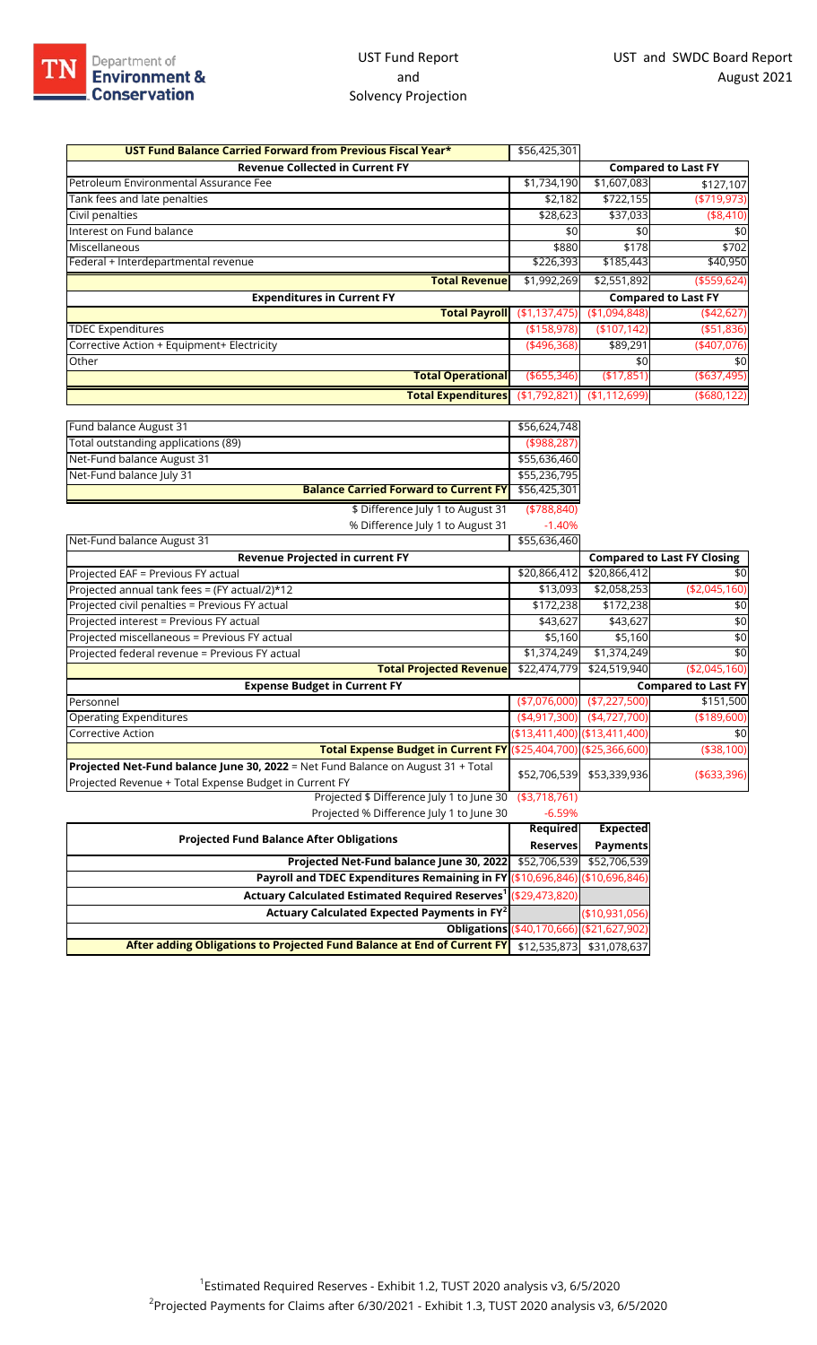## UST Fund Report and Solvency Projection

| UST Fund Balance Carried Forward from Previous Fiscal Year* | \$56,425,301   |                         |                            |
|-------------------------------------------------------------|----------------|-------------------------|----------------------------|
| <b>Revenue Collected in Current FY</b>                      |                |                         | <b>Compared to Last FY</b> |
| Petroleum Environmental Assurance Fee                       | \$1,734,190    | \$1,607,083             | \$127,107                  |
| Tank fees and late penalties                                | \$2,182        | \$722,155               | ( \$719, 973)              |
| Civil penalties                                             | \$28,623       | \$37,033                | ( \$8,410)                 |
| Interest on Fund balance                                    | \$0            | \$0                     | \$0                        |
| Miscellaneous                                               | \$880          | \$178                   | \$702                      |
| Federal + Interdepartmental revenue                         | \$226,393      | \$185,443               | \$40,950                   |
| <b>Total Revenue</b>                                        | \$1,992,269    | $\overline{$2,551,892}$ | ( \$559, 624)              |
| <b>Expenditures in Current FY</b>                           |                |                         | <b>Compared to Last FY</b> |
| <b>Total Payroll</b>                                        | (\$1,137,475)  | (\$1,094,848)           | (442, 627)                 |
| <b>TDEC Expenditures</b>                                    | (\$158,978)    | (\$107,142)             | $($ \$51,836)              |
| Corrective Action + Equipment+ Electricity                  | (496,368)      | \$89,291                | $(*407,076)$               |
| Other                                                       |                | \$0                     | \$0                        |
| <b>Total Operational</b>                                    | $($ \$655,346) | ( \$17, 851)            | (\$637,495)                |
| Total Expenditures (\$1,792,821) (\$1,112,699)              |                |                         | ( \$680, 122)              |

| Fund balance August 31                                                                                                                     | \$56,624,748   |                                   |                                    |
|--------------------------------------------------------------------------------------------------------------------------------------------|----------------|-----------------------------------|------------------------------------|
| Total outstanding applications (89)                                                                                                        | (\$988,287)    |                                   |                                    |
| Net-Fund balance August 31                                                                                                                 | \$55,636,460   |                                   |                                    |
| Net-Fund balance July 31                                                                                                                   | \$55,236,795   |                                   |                                    |
| <b>Balance Carried Forward to Current FY</b>                                                                                               | \$56,425,301   |                                   |                                    |
| \$ Difference July 1 to August 31                                                                                                          | ( \$788, 840)  |                                   |                                    |
| % Difference July 1 to August 31                                                                                                           | $-1.40%$       |                                   |                                    |
| Net-Fund balance August 31                                                                                                                 | \$55,636,460   |                                   |                                    |
| <b>Revenue Projected in current FY</b>                                                                                                     |                |                                   | <b>Compared to Last FY Closing</b> |
| Projected EAF = Previous FY actual                                                                                                         | \$20,866,412   | \$20,866,412                      | \$0                                |
| Projected annual tank fees = (FY actual/2)*12                                                                                              | \$13,093       | \$2,058,253                       | ( \$2,045,160)                     |
| Projected civil penalties = Previous FY actual                                                                                             | \$172,238      | \$172,238                         | \$0                                |
| Projected interest = Previous FY actual                                                                                                    | \$43,627       | \$43,627                          | \$0                                |
| Projected miscellaneous = Previous FY actual                                                                                               | \$5,160        | \$5,160                           | \$0                                |
| Projected federal revenue = Previous FY actual                                                                                             | \$1,374,249    | \$1,374,249                       | \$0                                |
| <b>Total Projected Revenue</b>                                                                                                             | \$22,474,779   | \$24,519,940                      | ( \$2,045,160)                     |
| <b>Expense Budget in Current FY</b>                                                                                                        |                |                                   | <b>Compared to Last FY</b>         |
| Personnel                                                                                                                                  | $(*7,076,000)$ | $(*7,227,500)$                    | \$151,500                          |
| <b>Operating Expenditures</b>                                                                                                              | (4,917,300)    | (4,727,700)                       | ( \$189, 600)                      |
| <b>Corrective Action</b>                                                                                                                   |                | $( $13,411,400)$ $( $13,411,400)$ | \$0                                |
| Total Expense Budget in Current FY (\$25,404,700) (\$25,366,600)                                                                           |                |                                   | (\$38,100)                         |
| Projected Net-Fund balance June 30, 2022 = Net Fund Balance on August 31 + Total<br>Projected Revenue + Total Expense Budget in Current FY | \$52,706,539   | \$53,339,936                      | ( \$633, 396)                      |
| Projected \$ Difference July 1 to June 30                                                                                                  | ( \$3,718,761) |                                   |                                    |
| Projected % Difference July 1 to June 30                                                                                                   | $-6.59%$       |                                   |                                    |

| The process to build check fail the fame so                                 |                 |                                           |
|-----------------------------------------------------------------------------|-----------------|-------------------------------------------|
| <b>Projected Fund Balance After Obligations</b>                             | Required        | <b>Expected</b>                           |
|                                                                             | <b>Reserves</b> | <b>Payments</b>                           |
| Projected Net-Fund balance June 30, 2022                                    | \$52,706,539    | \$52,706.539                              |
| Payroll and TDEC Expenditures Remaining in FY (\$10,696,846) (\$10,696,846) |                 |                                           |
| Actuary Calculated Estimated Required Reserves <sup>1</sup> (\$29,473,820)  |                 |                                           |
| Actuary Calculated Expected Payments in FY <sup>2</sup>                     |                 | (\$10,931,056)                            |
|                                                                             |                 | Obligations (\$40,170,666) (\$21,627,902) |
| After adding Obligations to Projected Fund Balance at End of Current FY     | \$12,535,873    | \$31.078.637                              |